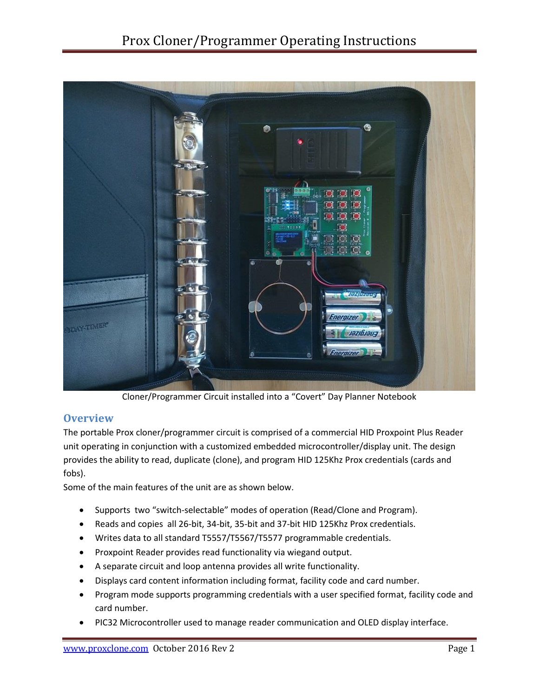

Cloner/Programmer Circuit installed into a "Covert" Day Planner Notebook

## **Overview**

The portable Prox cloner/programmer circuit is comprised of a commercial HID Proxpoint Plus Reader unit operating in conjunction with a customized embedded microcontroller/display unit. The design provides the ability to read, duplicate (clone), and program HID 125Khz Prox credentials (cards and fobs).

Some of the main features of the unit are as shown below.

- Supports two "switch-selectable" modes of operation (Read/Clone and Program).
- Reads and copies all 26-bit, 34-bit, 35-bit and 37-bit HID 125Khz Prox credentials.
- Writes data to all standard T5557/T5567/T5577 programmable credentials.
- Proxpoint Reader provides read functionality via wiegand output.
- A separate circuit and loop antenna provides all write functionality.
- Displays card content information including format, facility code and card number.
- Program mode supports programming credentials with a user specified format, facility code and card number.
- PIC32 Microcontroller used to manage reader communication and OLED display interface.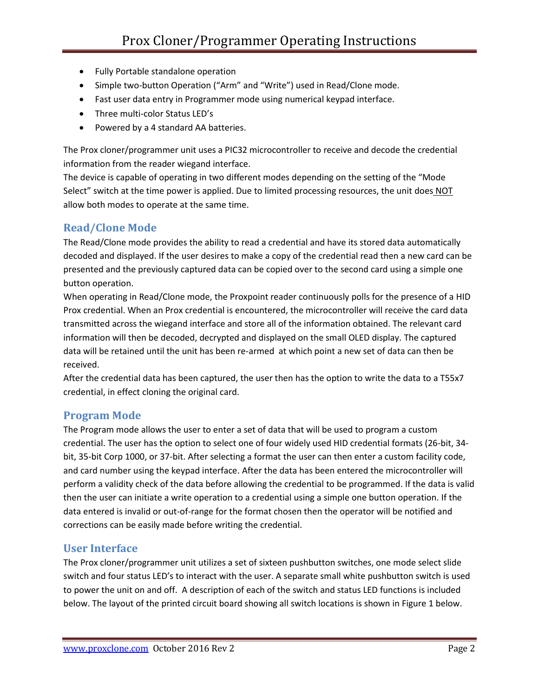- Fully Portable standalone operation
- Simple two-button Operation ("Arm" and "Write") used in Read/Clone mode.
- Fast user data entry in Programmer mode using numerical keypad interface.
- Three multi-color Status LED's
- Powered by a 4 standard AA batteries.

The Prox cloner/programmer unit uses a PIC32 microcontroller to receive and decode the credential information from the reader wiegand interface.

The device is capable of operating in two different modes depending on the setting of the "Mode Select" switch at the time power is applied. Due to limited processing resources, the unit does NOT allow both modes to operate at the same time.

# **Read/Clone Mode**

The Read/Clone mode provides the ability to read a credential and have its stored data automatically decoded and displayed. If the user desires to make a copy of the credential read then a new card can be presented and the previously captured data can be copied over to the second card using a simple one button operation.

When operating in Read/Clone mode, the Proxpoint reader continuously polls for the presence of a HID Prox credential. When an Prox credential is encountered, the microcontroller will receive the card data transmitted across the wiegand interface and store all of the information obtained. The relevant card information will then be decoded, decrypted and displayed on the small OLED display. The captured data will be retained until the unit has been re-armed at which point a new set of data can then be received.

After the credential data has been captured, the user then has the option to write the data to a T55x7 credential, in effect cloning the original card.

# **Program Mode**

The Program mode allows the user to enter a set of data that will be used to program a custom credential. The user has the option to select one of four widely used HID credential formats (26-bit, 34 bit, 35-bit Corp 1000, or 37-bit. After selecting a format the user can then enter a custom facility code, and card number using the keypad interface. After the data has been entered the microcontroller will perform a validity check of the data before allowing the credential to be programmed. If the data is valid then the user can initiate a write operation to a credential using a simple one button operation. If the data entered is invalid or out-of-range for the format chosen then the operator will be notified and corrections can be easily made before writing the credential.

# **User Interface**

The Prox cloner/programmer unit utilizes a set of sixteen pushbutton switches, one mode select slide switch and four status LED's to interact with the user. A separate small white pushbutton switch is used to power the unit on and off. A description of each of the switch and status LED functions is included below. The layout of the printed circuit board showing all switch locations is shown in Figure 1 below.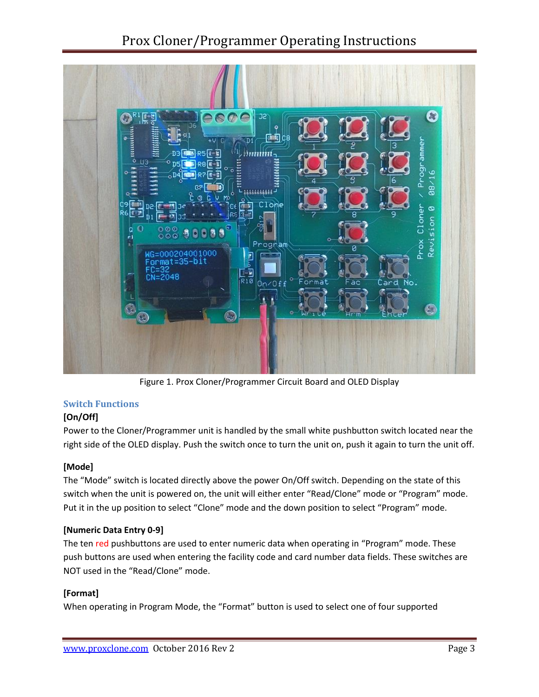

Figure 1. Prox Cloner/Programmer Circuit Board and OLED Display

## **Switch Functions**

## **[On/Off]**

Power to the Cloner/Programmer unit is handled by the small white pushbutton switch located near the right side of the OLED display. Push the switch once to turn the unit on, push it again to turn the unit off.

#### **[Mode]**

The "Mode" switch is located directly above the power On/Off switch. Depending on the state of this switch when the unit is powered on, the unit will either enter "Read/Clone" mode or "Program" mode. Put it in the up position to select "Clone" mode and the down position to select "Program" mode.

#### **[Numeric Data Entry 0-9]**

The ten red pushbuttons are used to enter numeric data when operating in "Program" mode. These push buttons are used when entering the facility code and card number data fields. These switches are NOT used in the "Read/Clone" mode.

## **[Format]**

When operating in Program Mode, the "Format" button is used to select one of four supported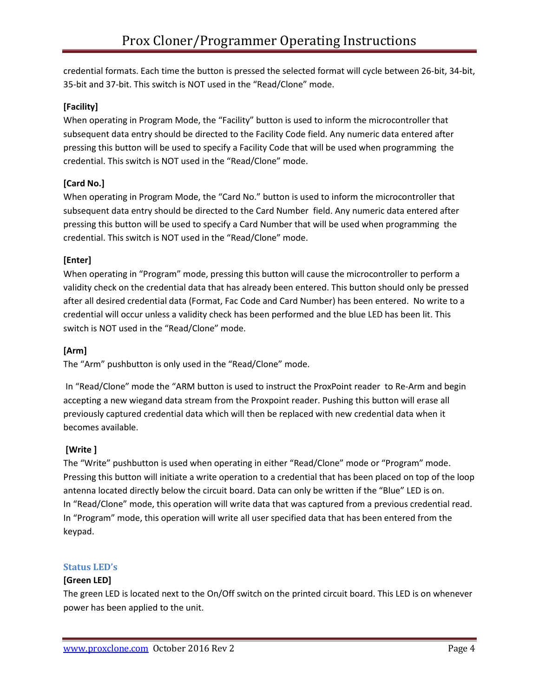credential formats. Each time the button is pressed the selected format will cycle between 26-bit, 34-bit, 35-bit and 37-bit. This switch is NOT used in the "Read/Clone" mode.

## **[Facility]**

When operating in Program Mode, the "Facility" button is used to inform the microcontroller that subsequent data entry should be directed to the Facility Code field. Any numeric data entered after pressing this button will be used to specify a Facility Code that will be used when programming the credential. This switch is NOT used in the "Read/Clone" mode.

## **[Card No.]**

When operating in Program Mode, the "Card No." button is used to inform the microcontroller that subsequent data entry should be directed to the Card Number field. Any numeric data entered after pressing this button will be used to specify a Card Number that will be used when programming the credential. This switch is NOT used in the "Read/Clone" mode.

## **[Enter]**

When operating in "Program" mode, pressing this button will cause the microcontroller to perform a validity check on the credential data that has already been entered. This button should only be pressed after all desired credential data (Format, Fac Code and Card Number) has been entered. No write to a credential will occur unless a validity check has been performed and the blue LED has been lit. This switch is NOT used in the "Read/Clone" mode.

#### **[Arm]**

The "Arm" pushbutton is only used in the "Read/Clone" mode.

In "Read/Clone" mode the "ARM button is used to instruct the ProxPoint reader to Re-Arm and begin accepting a new wiegand data stream from the Proxpoint reader. Pushing this button will erase all previously captured credential data which will then be replaced with new credential data when it becomes available.

#### **[Write ]**

The "Write" pushbutton is used when operating in either "Read/Clone" mode or "Program" mode. Pressing this button will initiate a write operation to a credential that has been placed on top of the loop antenna located directly below the circuit board. Data can only be written if the "Blue" LED is on. In "Read/Clone" mode, this operation will write data that was captured from a previous credential read. In "Program" mode, this operation will write all user specified data that has been entered from the keypad.

#### **Status LED's**

#### **[Green LED]**

The green LED is located next to the On/Off switch on the printed circuit board. This LED is on whenever power has been applied to the unit.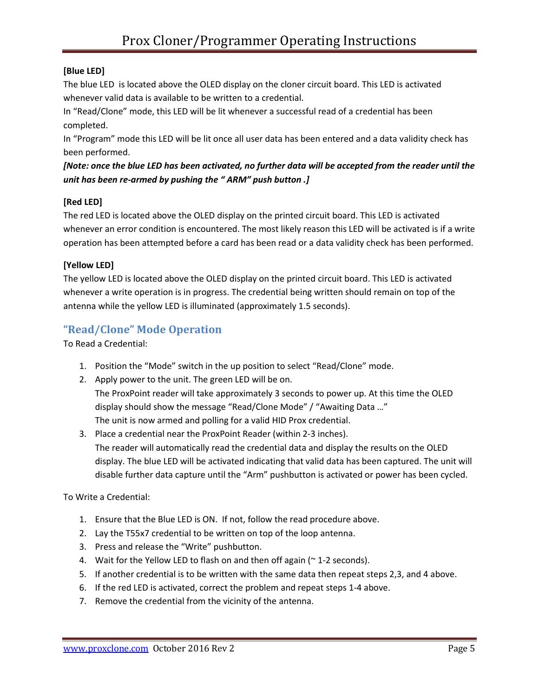## **[Blue LED]**

The blue LED is located above the OLED display on the cloner circuit board. This LED is activated whenever valid data is available to be written to a credential.

In "Read/Clone" mode, this LED will be lit whenever a successful read of a credential has been completed.

In "Program" mode this LED will be lit once all user data has been entered and a data validity check has been performed.

*[Note: once the blue LED has been activated, no further data will be accepted from the reader until the unit has been re-armed by pushing the " ARM" push button .]*

## **[Red LED]**

The red LED is located above the OLED display on the printed circuit board. This LED is activated whenever an error condition is encountered. The most likely reason this LED will be activated is if a write operation has been attempted before a card has been read or a data validity check has been performed.

## **[Yellow LED]**

The yellow LED is located above the OLED display on the printed circuit board. This LED is activated whenever a write operation is in progress. The credential being written should remain on top of the antenna while the yellow LED is illuminated (approximately 1.5 seconds).

## **"Read/Clone" Mode Operation**

To Read a Credential:

- 1. Position the "Mode" switch in the up position to select "Read/Clone" mode.
- 2. Apply power to the unit. The green LED will be on.

The ProxPoint reader will take approximately 3 seconds to power up. At this time the OLED display should show the message "Read/Clone Mode" / "Awaiting Data …" The unit is now armed and polling for a valid HID Prox credential.

3. Place a credential near the ProxPoint Reader (within 2-3 inches). The reader will automatically read the credential data and display the results on the OLED display. The blue LED will be activated indicating that valid data has been captured. The unit will disable further data capture until the "Arm" pushbutton is activated or power has been cycled.

To Write a Credential:

- 1. Ensure that the Blue LED is ON. If not, follow the read procedure above.
- 2. Lay the T55x7 credential to be written on top of the loop antenna.
- 3. Press and release the "Write" pushbutton.
- 4. Wait for the Yellow LED to flash on and then off again ( $\sim$  1-2 seconds).
- 5. If another credential is to be written with the same data then repeat steps 2,3, and 4 above.
- 6. If the red LED is activated, correct the problem and repeat steps 1-4 above.
- 7. Remove the credential from the vicinity of the antenna.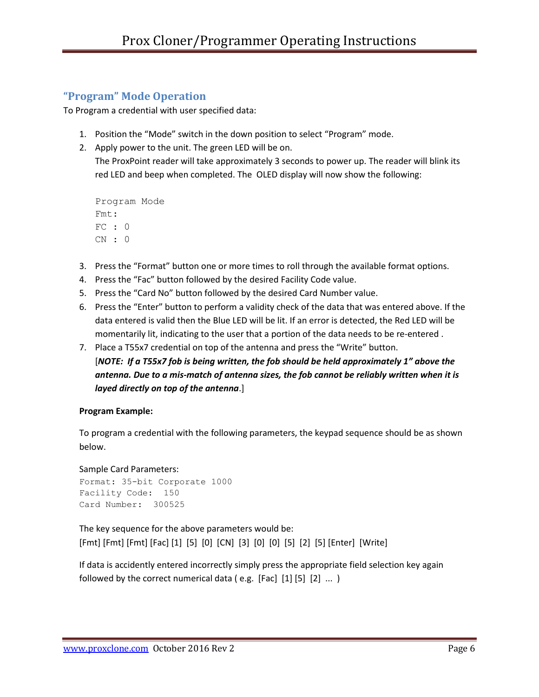## **"Program" Mode Operation**

To Program a credential with user specified data:

- 1. Position the "Mode" switch in the down position to select "Program" mode.
- 2. Apply power to the unit. The green LED will be on.

The ProxPoint reader will take approximately 3 seconds to power up. The reader will blink its red LED and beep when completed. The OLED display will now show the following:

```
Program Mode
Fmt:
FC : 0
CN : 0
```
- 3. Press the "Format" button one or more times to roll through the available format options.
- 4. Press the "Fac" button followed by the desired Facility Code value.
- 5. Press the "Card No" button followed by the desired Card Number value.
- 6. Press the "Enter" button to perform a validity check of the data that was entered above. If the data entered is valid then the Blue LED will be lit. If an error is detected, the Red LED will be momentarily lit, indicating to the user that a portion of the data needs to be re-entered .
- 7. Place a T55x7 credential on top of the antenna and press the "Write" button. [*NOTE: If a T55x7 fob is being written, the fob should be held approximately 1" above the antenna. Due to a mis-match of antenna sizes, the fob cannot be reliably written when it is layed directly on top of the antenna*.]

#### **Program Example:**

To program a credential with the following parameters, the keypad sequence should be as shown below.

Sample Card Parameters: Format: 35-bit Corporate 1000 Facility Code: 150 Card Number: 300525

The key sequence for the above parameters would be: [Fmt] [Fmt] [Fmt] [Fac] [1] [5] [0] [CN] [3] [0] [0] [5] [2] [5] [Enter] [Write]

If data is accidently entered incorrectly simply press the appropriate field selection key again followed by the correct numerical data (e.g. [Fac]  $[1] [5] [2] ...$ )